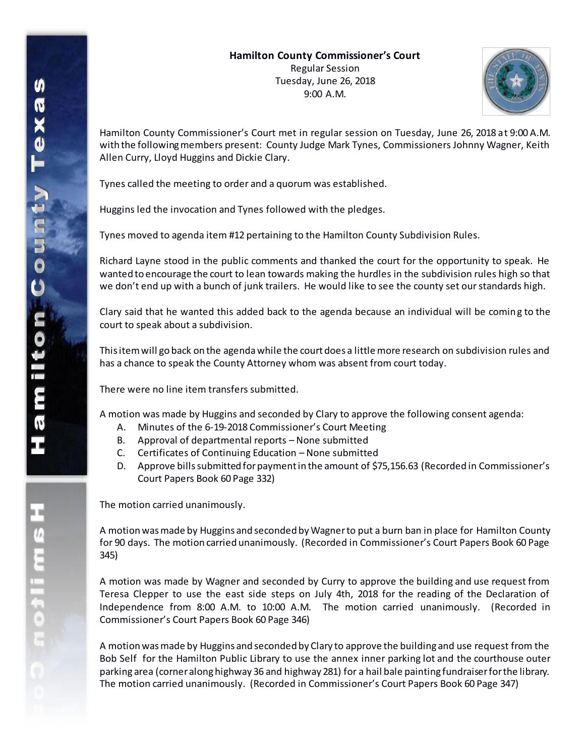

Hamilton County Commissioner's Court met in regular session on Tuesday, June 26, 2018 at 9:00 A.M. with the following members present: County Judge Mark Tynes, Commissioners Johnny Wagner, Keith Allen Curry, Lloyd Huggins and Dickie Clary.

Tynes called the meeting to order and a quorum was established.

Huggins led the invocation and Tynes followed with the pledges.

Tynes moved to agenda item #12 pertaining to the Hamilton County Subdivision Rules.

Richard Layne stood in the public comments and thanked the court for the opportunity to speak. He wanted to encourage the court to lean towards making the hurdles in the subdivision rules high so that we don't end up with a bunch of junk trailers. He would like to see the county set our standards high.

Clary said that he wanted this added back to the agenda because an individual will be coming to the court to speak about a subdivision.

This item will go back on the agenda while the court does a little more research on subdivision rules and has a chance to speak the County Attorney whom was absent from court today.

There were no line item transfers submitted.

A motion was made by Huggins and seconded by Clary to approve the following consent agenda:

- A. Minutes of the 6-19-2018 Commissioner's Court Meeting
- B. Approval of departmental reports None submitted
- C. Certificates of Continuing Education None submitted
- D. Approve bills submitted for payment in the amount of \$75,156.63 (Recorded in Commissioner's Court Papers Book 60 Page 332)

The motion carried unanimously.

A motion was made by Huggins and seconded by Wagner to put a burn ban in place for Hamilton County for 90 days. The motion carried unanimously. (Recorded in Commissioner's Court Papers Book 60 Page 345)

A motion was made by Wagner and seconded by Curry to approve the building and use request from Teresa Clepper to use the east side steps on July 4th, 2018 for the reading of the Declaration of Independence from 8:00 A.M. to 10:00 A.M. The motion carried unanimously. (Recorded in Commissioner's Court Papers Book 60 Page 346)

A motion was made by Huggins and seconded by Clary to approve the building and use request from the Bob Self for the Hamilton Public Library to use the annex inner parking lot and the courthouse outer parking area (corner along highway 36 and highway 281) for a hail bale painting fundraiser for the library. The motion carried unanimously. (Recorded in Commissioner's Court Papers Book 60 Page 347)